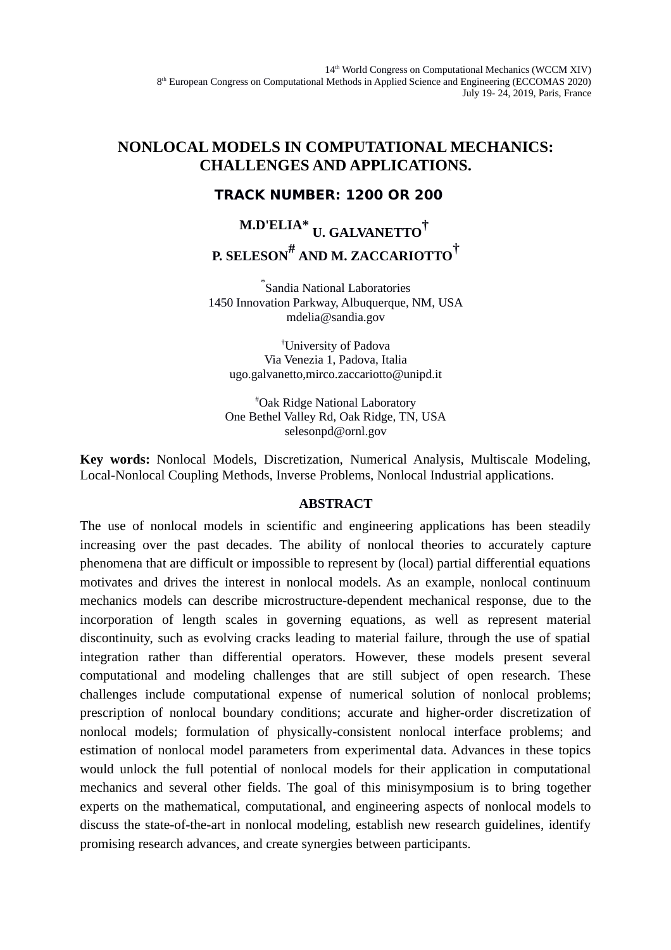## **NONLOCAL MODELS IN COMPUTATIONAL MECHANICS: CHALLENGES AND APPLICATIONS.**

### **TRACK NUMBER: 1200 OR 200**

# **M.D'ELIA\* U. GALVANETTO† P. SELESON# AND M. ZACCARIOTTO†**

\* Sandia National Laboratories 1450 Innovation Parkway, Albuquerque, NM, USA mdelia@sandia.gov

†University of Padova Via Venezia 1, Padova, Italia ugo.galvanetto,mirco.zaccariotto@unipd.it

#Oak Ridge National Laboratory One Bethel Valley Rd, Oak Ridge, TN, USA selesonpd@ornl.gov

**Key words:** Nonlocal Models, Discretization, Numerical Analysis, Multiscale Modeling, Local-Nonlocal Coupling Methods, Inverse Problems, Nonlocal Industrial applications.

### **ABSTRACT**

The use of nonlocal models in scientific and engineering applications has been steadily increasing over the past decades. The ability of nonlocal theories to accurately capture phenomena that are difficult or impossible to represent by (local) partial differential equations motivates and drives the interest in nonlocal models. As an example, nonlocal continuum mechanics models can describe microstructure-dependent mechanical response, due to the incorporation of length scales in governing equations, as well as represent material discontinuity, such as evolving cracks leading to material failure, through the use of spatial integration rather than differential operators. However, these models present several computational and modeling challenges that are still subject of open research. These challenges include computational expense of numerical solution of nonlocal problems; prescription of nonlocal boundary conditions; accurate and higher-order discretization of nonlocal models; formulation of physically-consistent nonlocal interface problems; and estimation of nonlocal model parameters from experimental data. Advances in these topics would unlock the full potential of nonlocal models for their application in computational mechanics and several other fields. The goal of this minisymposium is to bring together experts on the mathematical, computational, and engineering aspects of nonlocal models to discuss the state-of-the-art in nonlocal modeling, establish new research guidelines, identify promising research advances, and create synergies between participants.